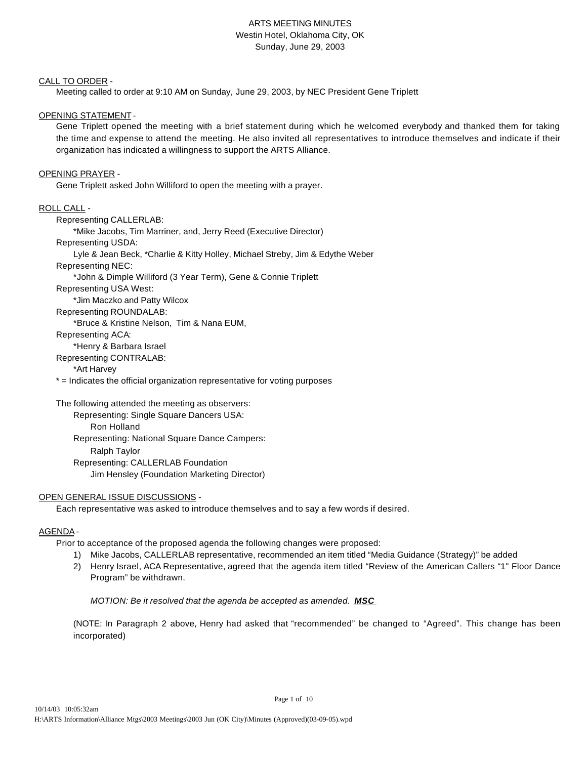# ARTS MEETING MINUTES Westin Hotel, Oklahoma City, OK Sunday, June 29, 2003

#### CALL TO ORDER -

Meeting called to order at 9:10 AM on Sunday, June 29, 2003, by NEC President Gene Triplett

# OPENING STATEMENT -

Gene Triplett opened the meeting with a brief statement during which he welcomed everybody and thanked them for taking the time and expense to attend the meeting. He also invited all representatives to introduce themselves and indicate if their organization has indicated a willingness to support the ARTS Alliance.

### OPENING PRAYER -

Gene Triplett asked John Williford to open the meeting with a prayer.

## ROLL CALL -

Representing CALLERLAB: \*Mike Jacobs, Tim Marriner, and, Jerry Reed (Executive Director) Representing USDA: Lyle & Jean Beck, \*Charlie & Kitty Holley, Michael Streby, Jim & Edythe Weber Representing NEC: \*John & Dimple Williford (3 Year Term), Gene & Connie Triplett Representing USA West: \*Jim Maczko and Patty Wilcox Representing ROUNDALAB: \*Bruce & Kristine Nelson, Tim & Nana EUM, Representing ACA: \*Henry & Barbara Israel Representing CONTRALAB: \*Art Harvey \* = Indicates the official organization representative for voting purposes

The following attended the meeting as observers: Representing: Single Square Dancers USA: Ron Holland Representing: National Square Dance Campers: Ralph Taylor Representing: CALLERLAB Foundation Jim Hensley (Foundation Marketing Director)

# OPEN GENERAL ISSUE DISCUSSIONS -

Each representative was asked to introduce themselves and to say a few words if desired.

# AGENDA -

Prior to acceptance of the proposed agenda the following changes were proposed:

1) Mike Jacobs, CALLERLAB representative, recommended an item titled "Media Guidance (Strategy)" be added

Page 1 of 10

2) Henry Israel, ACA Representative, agreed that the agenda item titled "Review of the American Callers "1" Floor Dance Program" be withdrawn.

*MOTION: Be it resolved that the agenda be accepted as amended. MSC* 

(NOTE: In Paragraph 2 above, Henry had asked that "recommended" be changed to "Agreed". This change has been incorporated)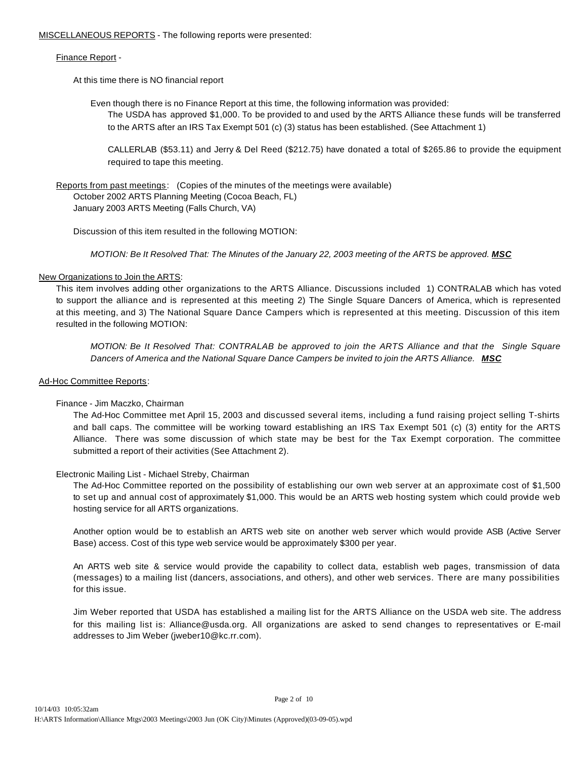MISCELLANEOUS REPORTS - The following reports were presented:

## Finance Report -

At this time there is NO financial report

Even though there is no Finance Report at this time, the following information was provided:

The USDA has approved \$1,000. To be provided to and used by the ARTS Alliance these funds will be transferred to the ARTS after an IRS Tax Exempt 501 (c) (3) status has been established. (See Attachment 1)

CALLERLAB (\$53.11) and Jerry & Del Reed (\$212.75) have donated a total of \$265.86 to provide the equipment required to tape this meeting.

Reports from past meetings: (Copies of the minutes of the meetings were available) October 2002 ARTS Planning Meeting (Cocoa Beach, FL) January 2003 ARTS Meeting (Falls Church, VA)

Discussion of this item resulted in the following MOTION:

*MOTION: Be It Resolved That: The Minutes of the January 22, 2003 meeting of the ARTS be approved. MSC* 

# New Organizations to Join the ARTS:

This item involves adding other organizations to the ARTS Alliance. Discussions included 1) CONTRALAB which has voted to support the alliance and is represented at this meeting 2) The Single Square Dancers of America, which is represented at this meeting, and 3) The National Square Dance Campers which is represented at this meeting. Discussion of this item resulted in the following MOTION:

*MOTION: Be It Resolved That: CONTRALAB be approved to join the ARTS Alliance and that the Single Square Dancers of America and the National Square Dance Campers be invited to join the ARTS Alliance. MSC*

## Ad-Hoc Committee Reports:

# Finance - Jim Maczko, Chairman

The Ad-Hoc Committee met April 15, 2003 and discussed several items, including a fund raising project selling T-shirts and ball caps. The committee will be working toward establishing an IRS Tax Exempt 501 (c) (3) entity for the ARTS Alliance. There was some discussion of which state may be best for the Tax Exempt corporation. The committee submitted a report of their activities (See Attachment 2).

# Electronic Mailing List - Michael Streby, Chairman

The Ad-Hoc Committee reported on the possibility of establishing our own web server at an approximate cost of \$1,500 to set up and annual cost of approximately \$1,000. This would be an ARTS web hosting system which could provide web hosting service for all ARTS organizations.

Another option would be to establish an ARTS web site on another web server which would provide ASB (Active Server Base) access. Cost of this type web service would be approximately \$300 per year.

An ARTS web site & service would provide the capability to collect data, establish web pages, transmission of data (messages) to a mailing list (dancers, associations, and others), and other web services. There are many possibilities for this issue.

Jim Weber reported that USDA has established a mailing list for the ARTS Alliance on the USDA web site. The address for this mailing list is: Alliance@usda.org. All organizations are asked to send changes to representatives or E-mail addresses to Jim Weber (jweber10@kc.rr.com).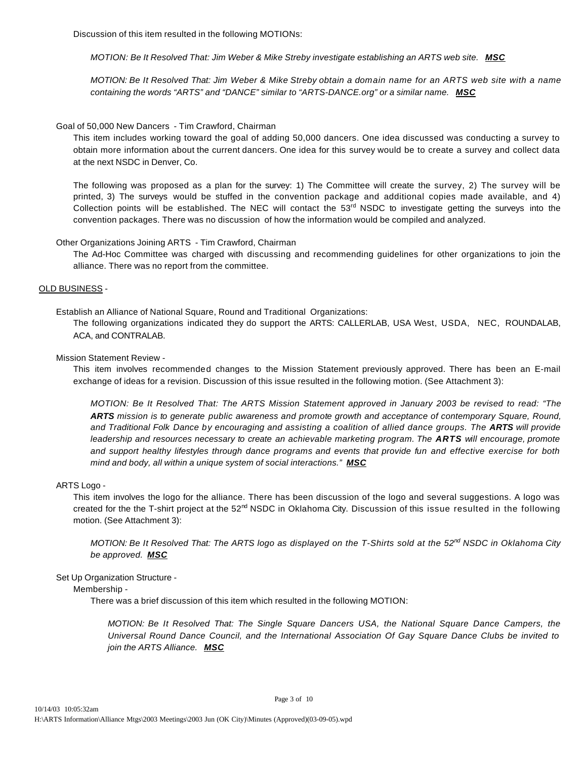Discussion of this item resulted in the following MOTIONs:

*MOTION: Be It Resolved That: Jim Weber & Mike Streby investigate establishing an ARTS web site.* **MSC** 

*MOTION: Be It Resolved That: Jim Weber & Mike Streby obtain a domain name for an ARTS web site with a name containing the words "ARTS" and "DANCE" similar to "ARTS-DANCE.org" or a similar name. MSC*

## Goal of 50,000 New Dancers - Tim Crawford, Chairman

This item includes working toward the goal of adding 50,000 dancers. One idea discussed was conducting a survey to obtain more information about the current dancers. One idea for this survey would be to create a survey and collect data at the next NSDC in Denver, Co.

The following was proposed as a plan for the survey: 1) The Committee will create the survey, 2) The survey will be printed, 3) The surveys would be stuffed in the convention package and additional copies made available, and 4) Collection points will be established. The NEC will contact the  $53<sup>rd</sup>$  NSDC to investigate getting the surveys into the convention packages. There was no discussion of how the information would be compiled and analyzed.

## Other Organizations Joining ARTS - Tim Crawford, Chairman

The Ad-Hoc Committee was charged with discussing and recommending guidelines for other organizations to join the alliance. There was no report from the committee.

## OLD BUSINESS -

Establish an Alliance of National Square, Round and Traditional Organizations:

The following organizations indicated they do support the ARTS: CALLERLAB, USA West, USDA, NEC, ROUNDALAB, ACA, and CONTRALAB.

### Mission Statement Review -

This item involves recommended changes to the Mission Statement previously approved. There has been an E-mail exchange of ideas for a revision. Discussion of this issue resulted in the following motion. (See Attachment 3):

*MOTION: Be It Resolved That: The ARTS Mission Statement approved in January 2003 be revised to read: "The ARTS mission is to generate public awareness and promote growth and acceptance of contemporary Square, Round, and Traditional Folk Dance by encouraging and assisting a coalition of allied dance groups. The ARTS will provide leadership and resources necessary to create an achievable marketing program. The ARTS will encourage, promote and support healthy lifestyles through dance programs and events that provide fun and effective exercise for both mind and body, all within a unique system of social interactions." MSC*

#### ARTS Logo -

This item involves the logo for the alliance. There has been discussion of the logo and several suggestions. A logo was created for the the T-shirt project at the  $52<sup>nd</sup>$  NSDC in Oklahoma City. Discussion of this issue resulted in the following motion. (See Attachment 3):

*MOTION: Be It Resolved That: The ARTS logo as displayed on the T-Shirts sold at the 52nd NSDC in Oklahoma City be approved. MSC*

#### Set Up Organization Structure -

Membership -

There was a brief discussion of this item which resulted in the following MOTION:

*MOTION: Be It Resolved That: The Single Square Dancers USA, the National Square Dance Campers, the Universal Round Dance Council, and the International Association Of Gay Square Dance Clubs be invited to join the ARTS Alliance. MSC*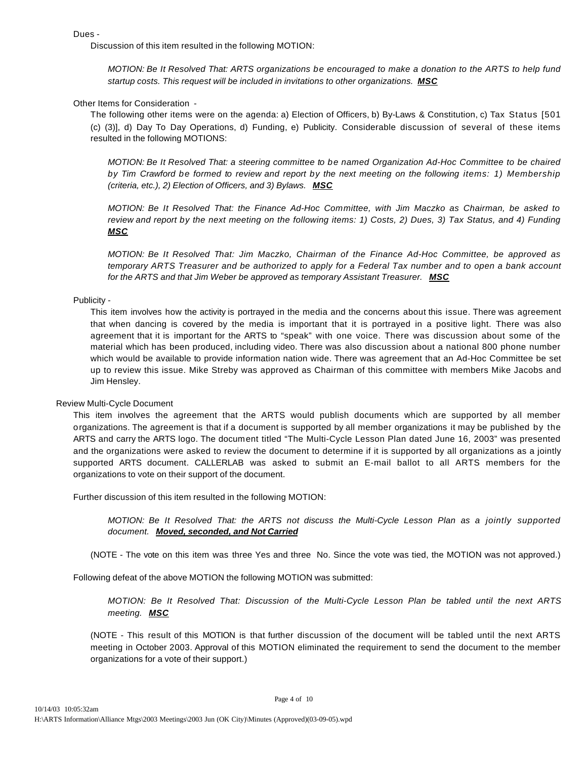Dues -

Discussion of this item resulted in the following MOTION:

*MOTION: Be It Resolved That: ARTS organizations be encouraged to make a donation to the ARTS to help fund startup costs. This request will be included in invitations to other organizations. MSC*

Other Items for Consideration -

The following other items were on the agenda: a) Election of Officers, b) By-Laws & Constitution, c) Tax Status [501 (c) (3)], d) Day To Day Operations, d) Funding, e) Publicity. Considerable discussion of several of these items resulted in the following MOTIONS:

*MOTION: Be It Resolved That: a steering committee to be named Organization Ad-Hoc Committee to be chaired by Tim Crawford be formed to review and report by the next meeting on the following items: 1) Membership (criteria, etc.), 2) Election of Officers, and 3) Bylaws. MSC*

*MOTION: Be It Resolved That: the Finance Ad-Hoc Committee, with Jim Maczko as Chairman, be asked to review and report by the next meeting on the following items: 1) Costs, 2) Dues, 3) Tax Status, and 4) Funding MSC*

*MOTION: Be It Resolved That: Jim Maczko, Chairman of the Finance Ad-Hoc Committee, be approved as temporary ARTS Treasurer and be authorized to apply for a Federal Tax number and to open a bank account for the ARTS and that Jim Weber be approved as temporary Assistant Treasurer. MSC*

## Publicity -

This item involves how the activity is portrayed in the media and the concerns about this issue. There was agreement that when dancing is covered by the media is important that it is portrayed in a positive light. There was also agreement that it is important for the ARTS to "speak" with one voice. There was discussion about some of the material which has been produced, including video. There was also discussion about a national 800 phone number which would be available to provide information nation wide. There was agreement that an Ad-Hoc Committee be set up to review this issue. Mike Streby was approved as Chairman of this committee with members Mike Jacobs and Jim Hensley.

#### Review Multi-Cycle Document

This item involves the agreement that the ARTS would publish documents which are supported by all member organizations. The agreement is that if a document is supported by all member organizations it may be published by the ARTS and carry the ARTS logo. The document titled "The Multi-Cycle Lesson Plan dated June 16, 2003" was presented and the organizations were asked to review the document to determine if it is supported by all organizations as a jointly supported ARTS document. CALLERLAB was asked to submit an E-mail ballot to all ARTS members for the organizations to vote on their support of the document.

Further discussion of this item resulted in the following MOTION:

*MOTION: Be It Resolved That: the ARTS not discuss the Multi-Cycle Lesson Plan as a jointly supported document. Moved, seconded, and Not Carried*

(NOTE - The vote on this item was three Yes and three No. Since the vote was tied, the MOTION was not approved.)

Following defeat of the above MOTION the following MOTION was submitted:

*MOTION: Be It Resolved That: Discussion of the Multi-Cycle Lesson Plan be tabled until the next ARTS meeting. MSC*

(NOTE - This result of this MOTION is that further discussion of the document will be tabled until the next ARTS meeting in October 2003. Approval of this MOTION eliminated the requirement to send the document to the member organizations for a vote of their support.)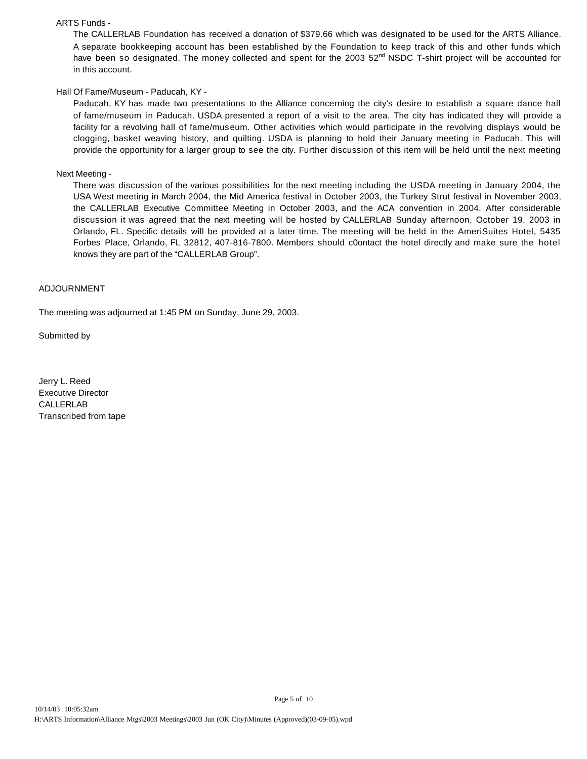#### ARTS Funds -

The CALLERLAB Foundation has received a donation of \$379.66 which was designated to be used for the ARTS Alliance. A separate bookkeeping account has been established by the Foundation to keep track of this and other funds which have been so designated. The money collected and spent for the 2003  $52<sup>nd</sup>$  NSDC T-shirt project will be accounted for in this account.

# Hall Of Fame/Museum - Paducah, KY -

Paducah, KY has made two presentations to the Alliance concerning the city's desire to establish a square dance hall of fame/museum in Paducah. USDA presented a report of a visit to the area. The city has indicated they will provide a facility for a revolving hall of fame/museum. Other activities which would participate in the revolving displays would be clogging, basket weaving history, and quilting. USDA is planning to hold their January meeting in Paducah. This will provide the opportunity for a larger group to see the city. Further discussion of this item will be held until the next meeting

#### Next Meeting -

There was discussion of the various possibilities for the next meeting including the USDA meeting in January 2004, the USA West meeting in March 2004, the Mid America festival in October 2003, the Turkey Strut festival in November 2003, the CALLERLAB Executive Committee Meeting in October 2003, and the ACA convention in 2004. After considerable discussion it was agreed that the next meeting will be hosted by CALLERLAB Sunday afternoon, October 19, 2003 in Orlando, FL. Specific details will be provided at a later time. The meeting will be held in the AmeriSuites Hotel, 5435 Forbes Place, Orlando, FL 32812, 407-816-7800. Members should c0ontact the hotel directly and make sure the hotel knows they are part of the "CALLERLAB Group".

#### ADJOURNMENT

The meeting was adjourned at 1:45 PM on Sunday, June 29, 2003.

Submitted by

Jerry L. Reed Executive Director CALLERLAB Transcribed from tape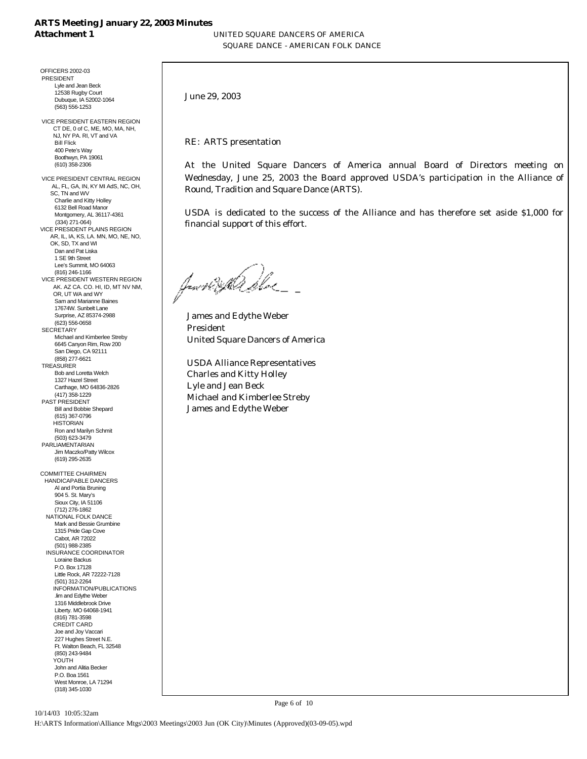## **ARTS Meeting January 22, 2003 Minutes Attachment 1** UNITED SQUARE DANCERS OF AMERICA

SQUARE DANCE - AMERICAN FOLK DANCE

OFFICERS 2002-03 PRESIDENT Lyle and Jean Beck 12538 Rugby Court Dubuque, IA 52002-1064 (563) 556-1253

 VICE PRESIDENT EASTERN REGION CT DE, 0 of C, ME, MO, MA, NH, NJ, NY PA. RI, VT and VA Bill Flick 400 Pete's Way Boothwyn, PA 19061 (610) 358-2306

 VICE PRESIDENT CENTRAL REGION AL, FL, GA, IN, KY MI AdS, NC, OH, SC, TN and WV Charlie and Kitty Holley 6132 Bell Road Manor Montgomery, AL 36117-4361 (334) 271-064) VICE PRESIDENT PLAINS REGION AR, IL, IA, KS, LA. MN, MO, NE, NO, OK, SD, TX and WI Dan and Pat Liska 1 SE 9th Street Lee's Summit, MO 64063 (816) 246-1166 VICE PRESIDENT WESTERN REGION AK. AZ CA. CO. HI, ID, MT NV NM, OR, UT WA and WY Sam and Marianne Baines 17674W. Sunbelt Lane Surprise, AZ 85374-2988 (623) 556-0658 **SECRETARY**  Michael and Kimberlee Streby 6645 Canyon Rim, Row 200 San Diego, CA 92111 (858) 277-6621 TREASURER Bob and Loretta Welch 1327 Hazel Street Carthage, MO 64836-2826 (417) 358-1229 PAST PRESIDENT Bill and Bobbie Shepard (615) 367-0796 **HISTORIAN**  Ron and Marilyn Schmit (503) 623-3479 PARLIAMENTARIAN Jim Maczko/Patty Wilcox (619) 295-2635 COMMITTEE CHAIRMEN HANDICAPABLE DANCERS Al and Portia Bruning 904 5. St. Mary's Sioux City, IA 51106 (712) 276-1862 NATIONAL FOLK DANCE Mark and Bessie Grumbine 1315 Pride Gap Cove Cabot, AR 72022

 (501) 988-2385 INSURANCE COORDINATOR Loraine Backus P.O. Box 17128 Little Rock, AR 72222-7128 (501) 312-2264 INFORMATION/PUBLICATIONS .lim and Edythe Weber 1316 Middlebrook Drive Liberty. MO 64068-1941 (816) 781-3598 CREDIT CARD Joe and Joy Vaccari 227 Hughes Street N.E. Ft. Walton Beach, FL 32548 (850) 243-9484 **YOUTH**  John and Alitia Becker P.O. Boa 1561 West Monroe, LA 71294 (318) 345-1030

June 29, 2003

RE: ARTS presentation

At the United Square Dancers of America annual Board of Directors meeting on Wednesday, June 25, 2003 the Board approved USDA's participation in the Alliance of Round, Tradition and Square Dance (ARTS).

USDA is dedicated to the success of the Alliance and has therefore set aside \$1,000 for financial support of this effort.

form the She

 James and Edythe Weber President United Square Dancers of America

 USDA Alliance Representatives Charles and Kitty Holley Lyle and Jean Beck Michael and Kimberlee Streby James and Edythe Weber

Page 6 of 10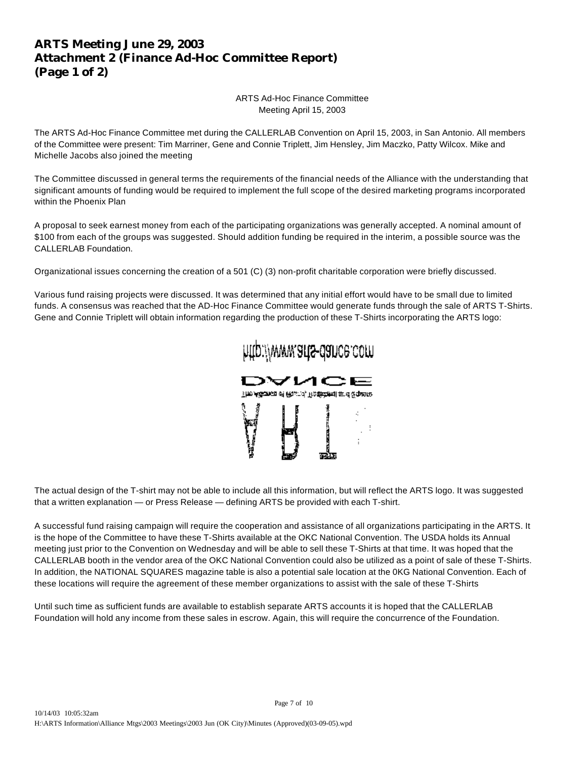# **ARTS Meeting June 29, 2003 Attachment 2 (Finance Ad-Hoc Committee Report) (Page 1 of 2)**

ARTS Ad-Hoc Finance Committee Meeting April 15, 2003

The ARTS Ad-Hoc Finance Committee met during the CALLERLAB Convention on April 15, 2003, in San Antonio. All members of the Committee were present: Tim Marriner, Gene and Connie Triplett, Jim Hensley, Jim Maczko, Patty Wilcox. Mike and Michelle Jacobs also joined the meeting

The Committee discussed in general terms the requirements of the financial needs of the Alliance with the understanding that significant amounts of funding would be required to implement the full scope of the desired marketing programs incorporated within the Phoenix Plan

A proposal to seek earnest money from each of the participating organizations was generally accepted. A nominal amount of \$100 from each of the groups was suggested. Should addition funding be required in the interim, a possible source was the CALLERLAB Foundation.

Organizational issues concerning the creation of a 501 (C) (3) non-profit charitable corporation were briefly discussed.

Various fund raising projects were discussed. It was determined that any initial effort would have to be small due to limited funds. A consensus was reached that the AD-Hoc Finance Committee would generate funds through the sale of ARTS T-Shirts. Gene and Connie Triplett will obtain information regarding the production of these T-Shirts incorporating the ARTS logo:



http://www.arts-dance.com

The actual design of the T-shirt may not be able to include all this information, but will reflect the ARTS logo. It was suggested that a written explanation — or Press Release — defining ARTS be provided with each T-shirt.

A successful fund raising campaign will require the cooperation and assistance of all organizations participating in the ARTS. It is the hope of the Committee to have these T-Shirts available at the OKC National Convention. The USDA holds its Annual meeting just prior to the Convention on Wednesday and will be able to sell these T-Shirts at that time. It was hoped that the CALLERLAB booth in the vendor area of the OKC National Convention could also be utilized as a point of sale of these T-Shirts. In addition, the NATIONAL SQUARES magazine table is also a potential sale location at the 0KG National Convention. Each of these locations will require the agreement of these member organizations to assist with the sale of these T-Shirts

Until such time as sufficient funds are available to establish separate ARTS accounts it is hoped that the CALLERLAB Foundation will hold any income from these sales in escrow. Again, this will require the concurrence of the Foundation.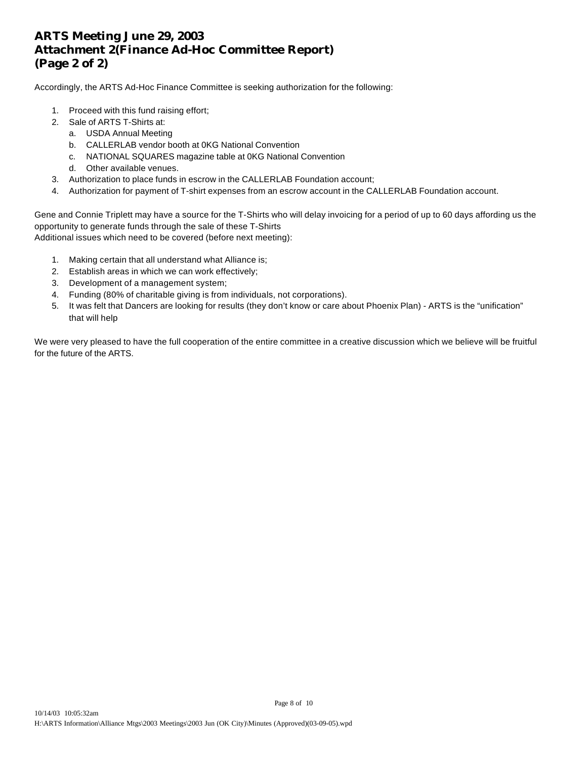# **ARTS Meeting June 29, 2003 Attachment 2(Finance Ad-Hoc Committee Report) (Page 2 of 2)**

Accordingly, the ARTS Ad-Hoc Finance Committee is seeking authorization for the following:

- 1. Proceed with this fund raising effort;
- 2. Sale of ARTS T-Shirts at:
	- a. USDA Annual Meeting
	- b. CALLERLAB vendor booth at 0KG National Convention
	- c. NATIONAL SQUARES magazine table at 0KG National Convention
	- d. Other available venues.
- 3. Authorization to place funds in escrow in the CALLERLAB Foundation account;
- 4. Authorization for payment of T-shirt expenses from an escrow account in the CALLERLAB Foundation account.

Gene and Connie Triplett may have a source for the T-Shirts who will delay invoicing for a period of up to 60 days affording us the opportunity to generate funds through the sale of these T-Shirts Additional issues which need to be covered (before next meeting):

- 1. Making certain that all understand what Alliance is;
- 2. Establish areas in which we can work effectively;
- 3. Development of a management system;
- 4. Funding (80% of charitable giving is from individuals, not corporations).
- 5. It was felt that Dancers are looking for results (they don't know or care about Phoenix Plan) ARTS is the "unification" that will help

We were very pleased to have the full cooperation of the entire committee in a creative discussion which we believe will be fruitful for the future of the ARTS.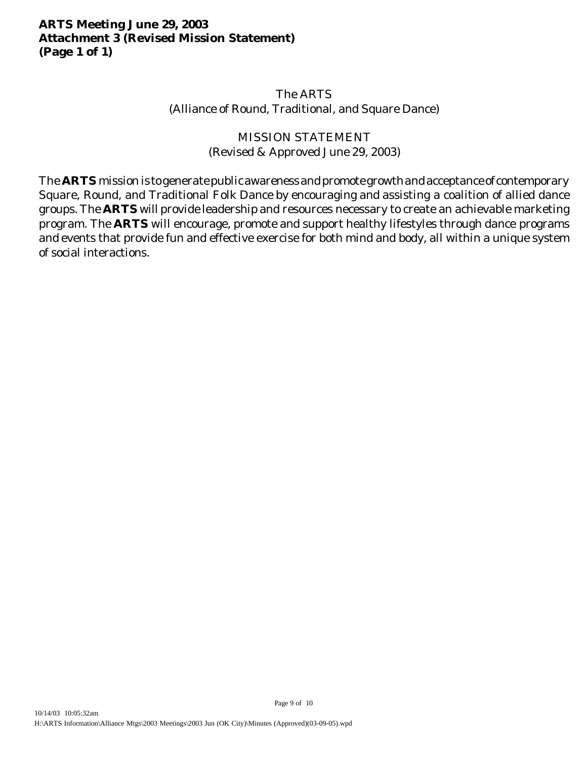# **ARTS Meeting June 29, 2003 Attachment 3 (Revised Mission Statement) (Page 1 of 1)**

# The ARTS (Alliance of Round, Traditional, and Square Dance)

# MISSION STATEMENT (Revised & Approved June 29, 2003)

The **ARTS** mission is to generate public awareness and promote growth and acceptance of contemporary Square, Round, and Traditional Folk Dance by encouraging and assisting a coalition of allied dance groups. The **ARTS** will provide leadership and resources necessary to create an achievable marketing program. The **ARTS** will encourage, promote and support healthy lifestyles through dance programs and events that provide fun and effective exercise for both mind and body, all within a unique system of social interactions.